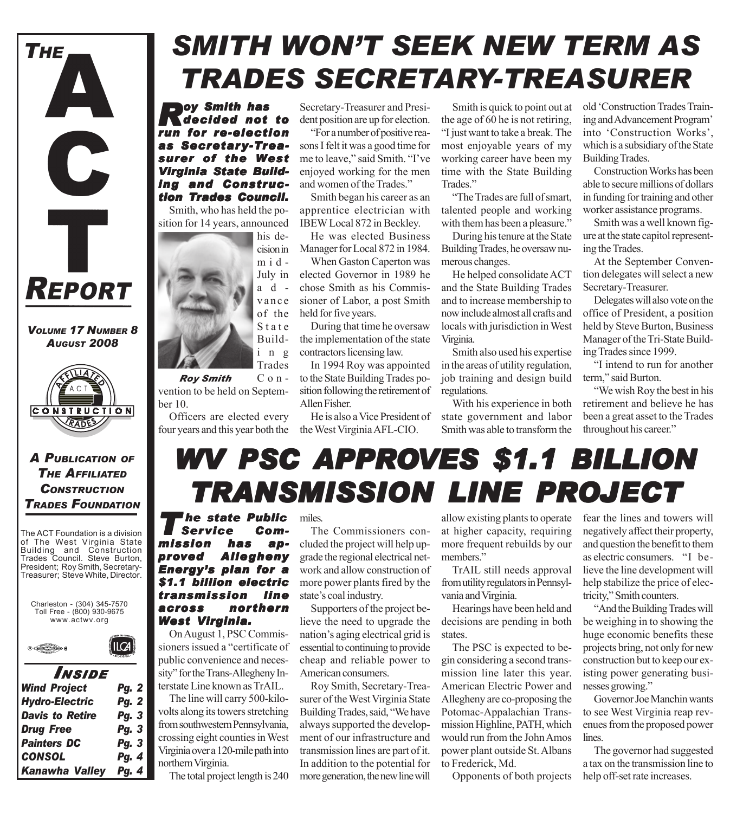

*VOLUME 17 NUMBER 8 AUGUST 2008*



*A PUBLICATION OF THE AFFILIATED CONSTRUCTION TRADES FOUNDATION*

The ACT Foundation is a division of The West Virginia State Building and Construction Trades Council. Steve Burton, President; Roy Smith, Secretary-Treasurer; Steve White, Director.



 $ILG$ 



| INSIDE                 |              |
|------------------------|--------------|
| <b>Wind Project</b>    | <b>Pg. 2</b> |
| <b>Hydro-Electric</b>  | <b>Pg. 2</b> |
| <b>Davis to Retire</b> | Pg. 3        |
| <b>Drug Free</b>       | Pg. 3        |
| <b>Painters DC</b>     | Pg. 3        |
| <b>CONSOL</b>          | Pg. 4        |
| <b>Kanawha Valley</b>  | Pg. 4        |

## *SMITH WON'T SEEK NEW TERM AS TRADES SECRETARY-TREASURER*

**Roy Smith has**<br> **R**decided not to *run for re-election as Secretary-Treasurer of the West Virginia State Build- Virginia Building and Construc- ing and Construction Trades Council. ades Council.*

Smith, who has held the position for 14 years, announced



Convention to be held on September 10. *Roy Smith*

Officers are elected every four years and this year both the the West Virginia AFL-CIO.

Secretary-Treasurer and President position are up for election.

"For a number of positive reasons I felt it was a good time for me to leave," said Smith. "I've enjoyed working for the men and women of the Trades."

Smith began his career as an apprentice electrician with IBEW Local 872 in Beckley.

He was elected Business Manager for Local 872 in 1984.

When Gaston Caperton was elected Governor in 1989 he chose Smith as his Commissioner of Labor, a post Smith held for five years.

During that time he oversaw the implementation of the state contractors licensing law.

In 1994 Roy was appointed to the State Building Trades position following the retirement of Allen Fisher.

He is also a Vice President of

Smith is quick to point out at the age of 60 he is not retiring, "I just want to take a break. The most enjoyable years of my working career have been my time with the State Building Trades."

"The Trades are full of smart, talented people and working with them has been a pleasure."

During his tenure at the State Building Trades, he oversaw numerous changes.

He helped consolidate ACT and the State Building Trades and to increase membership to now include almost all crafts and locals with jurisdiction in West Virginia.

Smith also used his expertise in the areas of utility regulation, job training and design build regulations.

With his experience in both state government and labor Smith was able to transform the old 'Construction Trades Training and Advancement Program' into 'Construction Works', which is a subsidiary of the State Building Trades.

Construction Works has been able to secure millions of dollars in funding for training and other worker assistance programs.

Smith was a well known figure at the state capitol representing the Trades.

At the September Convention delegates will select a new Secretary-Treasurer.

Delegates will also vote on the office of President, a position held by Steve Burton, Business Manager of the Tri-State Building Trades since 1999.

"I intend to run for another term," said Burton.

"We wish Roy the best in his retirement and believe he has been a great asset to the Trades throughout his career."

## *WV PSC APPROVES \$1.1 BILLION VES \$1.1 BILLION TRANSMISSION LINE PR TRANSMISSION LINE PROJECT*

**The state Public<br>Service Gom-<br>sion has ap-** $S$ ervice *mission has ap- mission approved Allegheny Energy's plan for a \$1.1 billion electric transmission line across nor thern West Virginia. West Virginia.*

On August 1, PSC Commissioners issued a "certificate of public convenience and necessity" for the Trans-Allegheny Interstate Line known as TrAIL.

The line will carry 500-kilovolts along its towers stretching from southwestern Pennsylvania, crossing eight counties in West Virginia over a 120-mile path into northern Virginia.

The total project length is 240

#### miles.

The Commissioners concluded the project will help upgrade the regional electrical network and allow construction of more power plants fired by the state's coal industry.

Supporters of the project believe the need to upgrade the nation's aging electrical grid is essential to continuing to provide cheap and reliable power to American consumers.

Roy Smith, Secretary-Treasurer of the West Virginia State Building Trades, said, "We have always supported the development of our infrastructure and transmission lines are part of it. In addition to the potential for more generation, the new line will

allow existing plants to operate at higher capacity, requiring more frequent rebuilds by our members."

TrAIL still needs approval from utility regulators in Pennsylvania and Virginia.

Hearings have been held and decisions are pending in both states.

The PSC is expected to begin considering a second transmission line later this year. American Electric Power and Allegheny are co-proposing the Potomac-Appalachian Transmission Highline, PATH, which would run from the John Amos power plant outside St. Albans to Frederick, Md.

Opponents of both projects

fear the lines and towers will negatively affect their property, and question the benefit to them as electric consumers. "I believe the line development will help stabilize the price of electricity," Smith counters.

"And the Building Trades will be weighing in to showing the huge economic benefits these projects bring, not only for new construction but to keep our existing power generating businesses growing."

Governor Joe Manchin wants to see West Virginia reap revenues from the proposed power lines.

The governor had suggested a tax on the transmission line to help off-set rate increases.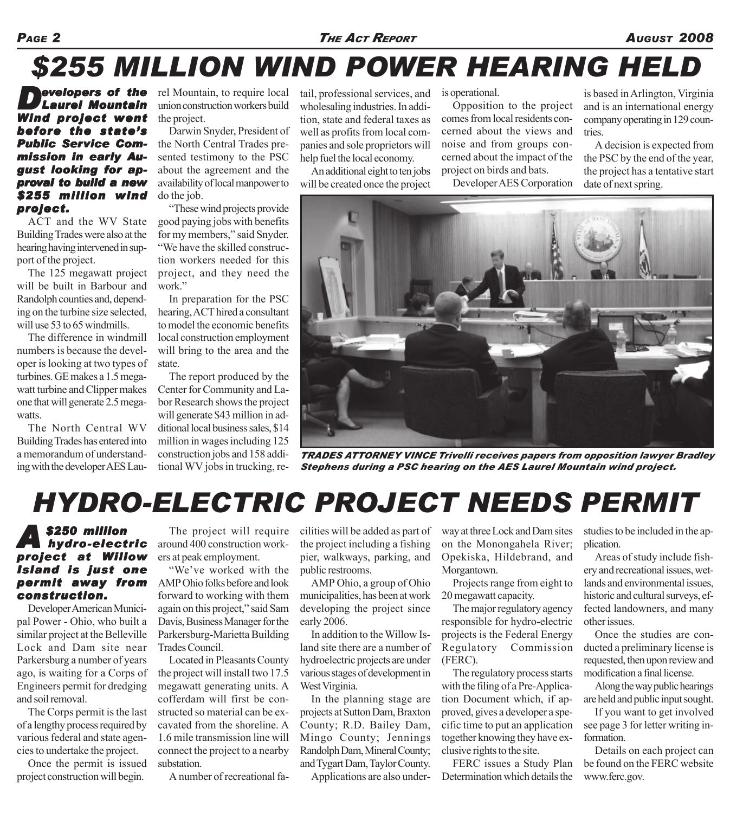#### *PAGE 2 THE ACT REPORT AUGUST 2008*

## *\$255 MILLION WIND POWER HEARING HELD*

*Developers of the Laurel Mountain Wind project went before the state's Public Service Com- vice Commission in early August looking for ap- gust approval to build a new \$255 million wind project. project.*

ACT and the WV State Building Trades were also at the hearing having intervened in support of the project.

The 125 megawatt project will be built in Barbour and Randolph counties and, depending on the turbine size selected, will use 53 to 65 windmills.

The difference in windmill numbers is because the developer is looking at two types of turbines. GE makes a 1.5 megawatt turbine and Clipper makes one that will generate 2.5 megawatts.

The North Central WV Building Trades has entered into a memorandum of understanding with the developer AES Laurel Mountain, to require local union construction workers build the project.

Darwin Snyder, President of the North Central Trades presented testimony to the PSC about the agreement and the availability of local manpower to do the job.

"These wind projects provide good paying jobs with benefits for my members," said Snyder. "We have the skilled construction workers needed for this project, and they need the work."

In preparation for the PSC hearing, ACT hired a consultant to model the economic benefits local construction employment will bring to the area and the state.

The report produced by the Center for Community and Labor Research shows the project will generate \$43 million in additional local business sales, \$14 million in wages including 125 construction jobs and 158 additional WV jobs in trucking, retail, professional services, and wholesaling industries. In addition, state and federal taxes as well as profits from local companies and sole proprietors will help fuel the local economy.

An additional eight to ten jobs will be created once the project

is operational.

Opposition to the project comes from local residents concerned about the views and noise and from groups concerned about the impact of the project on birds and bats.

Developer AES Corporation

is based in Arlington, Virginia and is an international energy company operating in 129 countries.

A decision is expected from the PSC by the end of the year, the project has a tentative start date of next spring.



*TRADES ATTORNEY VINCE Trivelli receives papers from opposition lawyer Bradley Stephens during a PSC hearing on the AES Laurel Mountain wind project.*

## *HYDRO-ELECTRIC PROJECT NEEDS PERMIT*

#### *A \$250 million hydro-electric project at Willow Island is just one permit away from construction. construction.*

Developer American Municipal Power - Ohio, who built a similar project at the Belleville Lock and Dam site near Parkersburg a number of years ago, is waiting for a Corps of Engineers permit for dredging and soil removal.

The Corps permit is the last of a lengthy process required by various federal and state agencies to undertake the project.

Once the permit is issued project construction will begin.

The project will require around 400 construction workers at peak employment.

"We've worked with the AMP Ohio folks before and look forward to working with them again on this project," said Sam Davis, Business Manager for the Parkersburg-Marietta Building Trades Council.

Located in Pleasants County the project will install two 17.5 megawatt generating units. A cofferdam will first be constructed so material can be excavated from the shoreline. A 1.6 mile transmission line will connect the project to a nearby substation.

A number of recreational fa-

cilities will be added as part of the project including a fishing pier, walkways, parking, and public restrooms.

AMP Ohio, a group of Ohio municipalities, has been at work developing the project since early 2006.

In addition to the Willow Island site there are a number of hydroelectric projects are under various stages of development in West Virginia.

In the planning stage are projects at Sutton Dam, Braxton County; R.D. Bailey Dam, Mingo County; Jennings Randolph Dam, Mineral County; and Tygart Dam, Taylor County.

Applications are also under-

way at three Lock and Dam sites on the Monongahela River; Opekiska, Hildebrand, and Morgantown.

Projects range from eight to 20 megawatt capacity.

The major regulatory agency responsible for hydro-electric projects is the Federal Energy Regulatory Commission (FERC).

The regulatory process starts with the filing of a Pre-Application Document which, if approved, gives a developer a specific time to put an application together knowing they have exclusive rights to the site.

FERC issues a Study Plan Determination which details the

studies to be included in the application.

Areas of study include fishery and recreational issues, wetlands and environmental issues, historic and cultural surveys, effected landowners, and many other issues.

Once the studies are conducted a preliminary license is requested, then upon review and modification a final license.

Along the way public hearings are held and public input sought.

If you want to get involved see page 3 for letter writing information.

Details on each project can be found on the FERC website www.ferc.gov.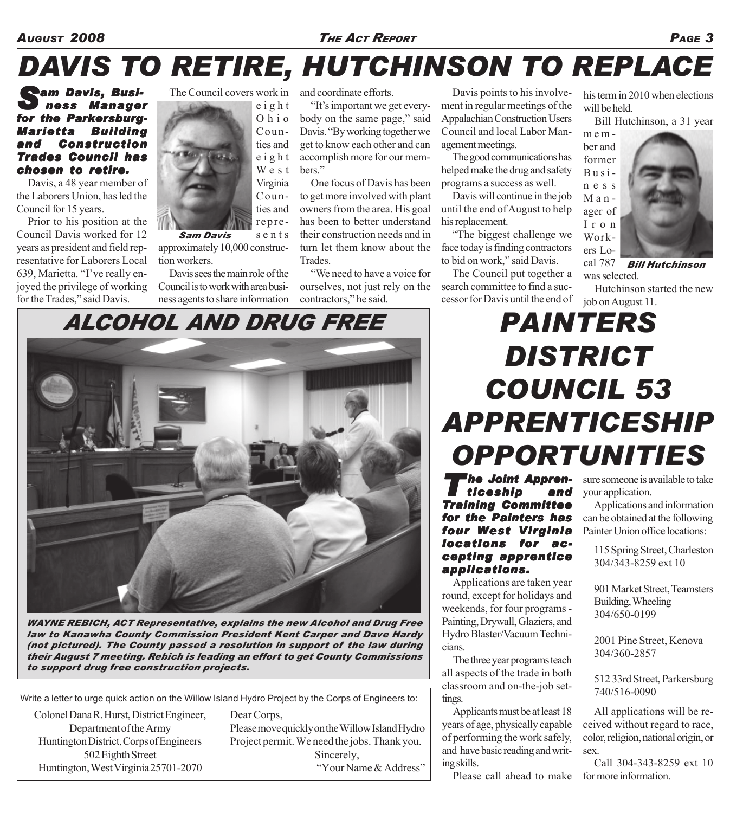*AUGUST 2008 THE ACT REPORT PAGE 3*

# *DAVIS TO RETIRE, HUTCHINSON TO REPLACE*

*Sam Davis, Busi- am Business Manager for the Parkersburg- the Parkersburg-Marietta Building and Construction Trades Council has chosen to retire. to* 

Davis, a 48 year member of the Laborers Union, has led the Council for 15 years.

Prior to his position at the Council Davis worked for 12 years as president and field representative for Laborers Local 639, Marietta. "I've really enjoyed the privilege of working for the Trades," said Davis.



sents approximately 10,000 construction workers. *Sam Davis*

Davis sees the main role of the Council is to work with area busi-

and coordinate efforts.

"It's important we get everybody on the same page," said Davis. "By working together we get to know each other and can accomplish more for our members."

One focus of Davis has been to get more involved with plant owners from the area. His goal has been to better understand their construction needs and in turn let them know about the Trades.

"We need to have a voice for ourselves, not just rely on the

Davis points to his involvement in regular meetings of the Appalachian Construction Users Council and local Labor Management meetings.

The good communications has helped make the drug and safety programs a success as well.

Davis will continue in the job until the end of August to help his replacement.

"The biggest challenge we face today is finding contractors to bid on work," said Davis.

The Council put together a search committee to find a successor for Davis until the end of

his term in 2010 when elections will be held.

Bill Hutchinson, a 31 year

mem-



*Bill Hutchinson* cal 787 was selected.

Hutchinson started the new job on August 11.



*WAYNE REBICH, ACT Representative, explains the new Alcohol and Drug Free law to Kanawha County Commission President Kent Carper and Dave Hardy (not pictured). The County passed a resolution in support of the law during their August 7 meeting. Rebich is leading an effort to get County Commissions to support drug free construction projects.*

Write a letter to urge quick action on the Willow Island Hydro Project by the Corps of Engineers to:

Colonel Dana R. Hurst, District Engineer, Department of the Army Huntington District, Corps of Engineers 502 Eighth Street Huntington, West Virginia 25701-2070

Dear Corps,

Please move quickly on the Willow Island Hydro Project permit. We need the jobs. Thank you. Sincerely, "Your Name & Address"

## *PAINTERS DISTRICT COUNCIL 53 APPRENTICESHIP OPPORTUNITIES*

h<mark>e Joint Appren-</mark><br>ticeship and  $ticeship$ *Training Committee for the Painters has four West Virginia locations for ac- locations for accepting apprentice applications. applications.*

Applications are taken year round, except for holidays and weekends, for four programs - Painting, Drywall, Glaziers, and Hydro Blaster/Vacuum Technicians.

The three year programs teach all aspects of the trade in both classroom and on-the-job settings.

Applicants must be at least 18 years of age, physically capable of performing the work safely, and have basic reading and writing skills.

Please call ahead to make for more information.

sure someone is available to take your application.

Applications and information can be obtained at the following Painter Union office locations:

115 Spring Street, Charleston 304/343-8259 ext 10

901 Market Street, Teamsters Building, Wheeling 304/650-0199

2001 Pine Street, Kenova 304/360-2857

512 33rd Street, Parkersburg 740/516-0090

All applications will be received without regard to race, color, religion, national origin, or sex.

Call 304-343-8259 ext 10

contractors," he said.

## ness agents to share information

*ALCOHOL AND DRUG FREE*